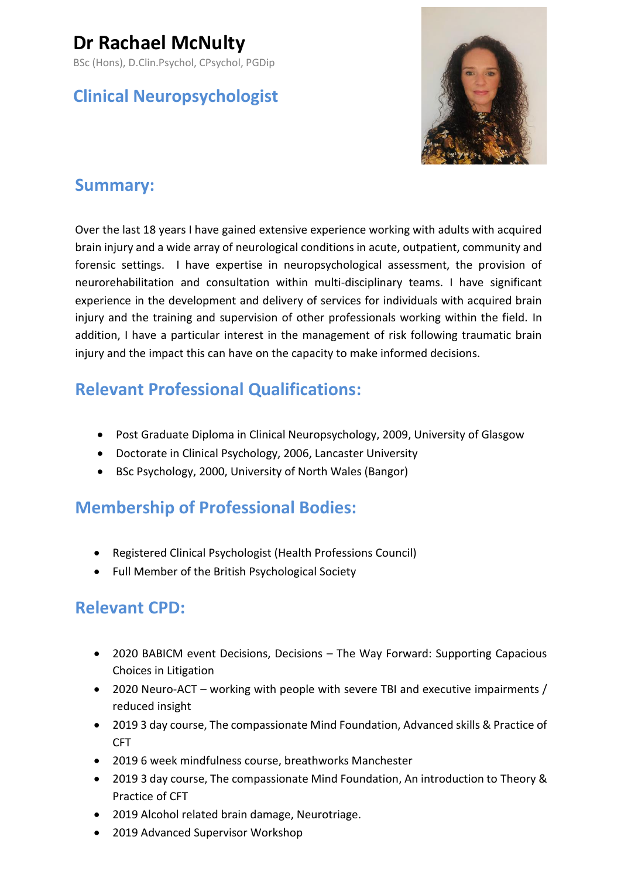# **Dr Rachael McNulty**

BSc (Hons), D.Clin.Psychol, CPsychol, PGDip

## **Clinical Neuropsychologist**



## **Summary:**

Over the last 18 years I have gained extensive experience working with adults with acquired brain injury and a wide array of neurological conditions in acute, outpatient, community and forensic settings. I have expertise in neuropsychological assessment, the provision of neurorehabilitation and consultation within multi-disciplinary teams. I have significant experience in the development and delivery of services for individuals with acquired brain injury and the training and supervision of other professionals working within the field. In addition, I have a particular interest in the management of risk following traumatic brain injury and the impact this can have on the capacity to make informed decisions.

## **Relevant Professional Qualifications:**

- Post Graduate Diploma in Clinical Neuropsychology, 2009, University of Glasgow
- Doctorate in Clinical Psychology, 2006, Lancaster University
- BSc Psychology, 2000, University of North Wales (Bangor)

## **Membership of Professional Bodies:**

- Registered Clinical Psychologist (Health Professions Council)
- Full Member of the British Psychological Society

## **Relevant CPD:**

- 2020 BABICM event Decisions, Decisions The Way Forward: Supporting Capacious Choices in Litigation
- 2020 Neuro-ACT working with people with severe TBI and executive impairments / reduced insight
- 2019 3 day course, The compassionate Mind Foundation, Advanced skills & Practice of CFT
- 2019 6 week mindfulness course, breathworks Manchester
- 2019 3 day course, The compassionate Mind Foundation, An introduction to Theory & Practice of CFT
- 2019 Alcohol related brain damage, Neurotriage.
- 2019 Advanced Supervisor Workshop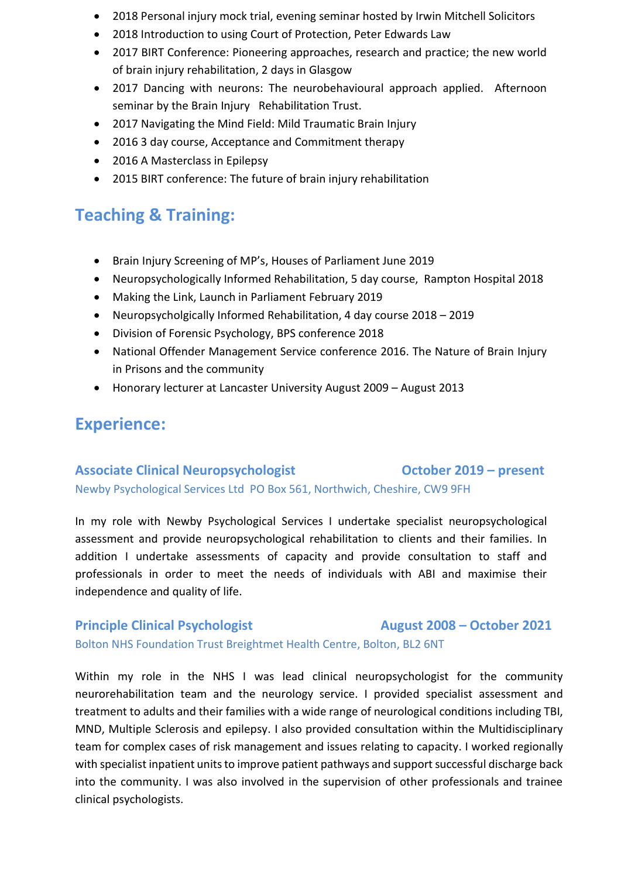- 2018 Personal injury mock trial, evening seminar hosted by Irwin Mitchell Solicitors
- 2018 Introduction to using Court of Protection, Peter Edwards Law
- 2017 BIRT Conference: Pioneering approaches, research and practice; the new world of brain injury rehabilitation, 2 days in Glasgow
- 2017 Dancing with neurons: The neurobehavioural approach applied. Afternoon seminar by the Brain Injury Rehabilitation Trust.
- 2017 Navigating the Mind Field: Mild Traumatic Brain Injury
- 2016 3 day course, Acceptance and Commitment therapy
- 2016 A Masterclass in Epilepsy
- 2015 BIRT conference: The future of brain injury rehabilitation

## **Teaching & Training:**

- Brain Injury Screening of MP's, Houses of Parliament June 2019
- Neuropsychologically Informed Rehabilitation, 5 day course, Rampton Hospital 2018
- Making the Link, Launch in Parliament February 2019
- Neuropsycholgically Informed Rehabilitation, 4 day course 2018 2019
- Division of Forensic Psychology, BPS conference 2018
- National Offender Management Service conference 2016. The Nature of Brain Injury in Prisons and the community
- Honorary lecturer at Lancaster University August 2009 August 2013

## **Experience:**

## Associate Clinical Neuropsychologist **COLOGIST COLOGIST COLOGIST October 2019 – present** Newby Psychological Services Ltd PO Box 561, Northwich, Cheshire, CW9 9FH

In my role with Newby Psychological Services I undertake specialist neuropsychological assessment and provide neuropsychological rehabilitation to clients and their families. In addition I undertake assessments of capacity and provide consultation to staff and professionals in order to meet the needs of individuals with ABI and maximise their independence and quality of life.

**Principle Clinical Psychologist August 2008 – October 2021**

Bolton NHS Foundation Trust Breightmet Health Centre, Bolton, BL2 6NT

Within my role in the NHS I was lead clinical neuropsychologist for the community neurorehabilitation team and the neurology service. I provided specialist assessment and treatment to adults and their families with a wide range of neurological conditions including TBI, MND, Multiple Sclerosis and epilepsy. I also provided consultation within the Multidisciplinary team for complex cases of risk management and issues relating to capacity. I worked regionally with specialist inpatient units to improve patient pathways and support successful discharge back into the community. I was also involved in the supervision of other professionals and trainee clinical psychologists.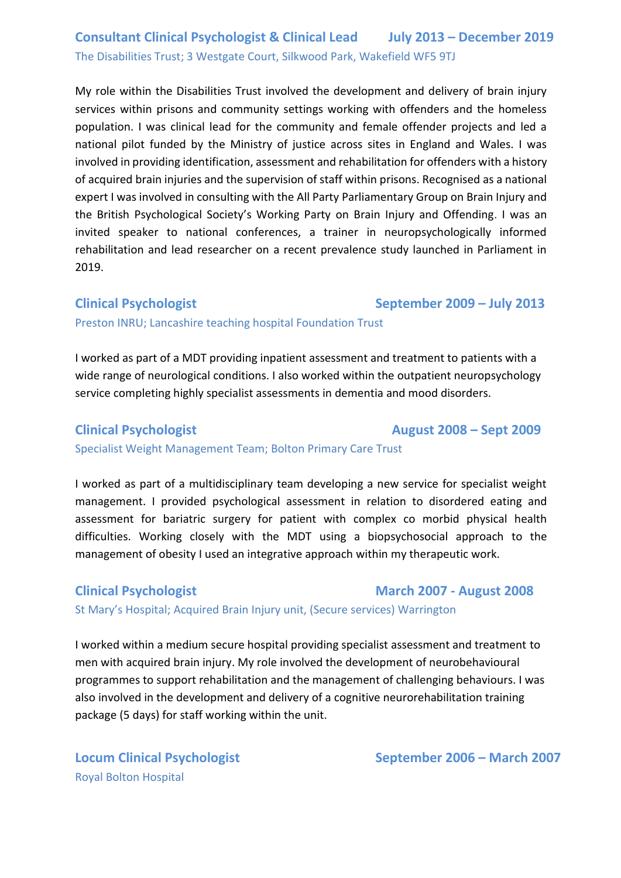## **Consultant Clinical Psychologist & Clinical Lead July 2013 – December 2019** The Disabilities Trust; 3 Westgate Court, Silkwood Park, Wakefield WF5 9TJ

My role within the Disabilities Trust involved the development and delivery of brain injury services within prisons and community settings working with offenders and the homeless population. I was clinical lead for the community and female offender projects and led a national pilot funded by the Ministry of justice across sites in England and Wales. I was involved in providing identification, assessment and rehabilitation for offenders with a history of acquired brain injuries and the supervision of staff within prisons. Recognised as a national expert I was involved in consulting with the All Party Parliamentary Group on Brain Injury and the British Psychological Society's Working Party on Brain Injury and Offending. I was an invited speaker to national conferences, a trainer in neuropsychologically informed rehabilitation and lead researcher on a recent prevalence study launched in Parliament in 2019.

### **Clinical Psychologist September 2009 – July 2013**

Preston INRU; Lancashire teaching hospital Foundation Trust

I worked as part of a MDT providing inpatient assessment and treatment to patients with a wide range of neurological conditions. I also worked within the outpatient neuropsychology service completing highly specialist assessments in dementia and mood disorders.

### **Clinical Psychologist August 2008 – Sept 2009**

Specialist Weight Management Team; Bolton Primary Care Trust

I worked as part of a multidisciplinary team developing a new service for specialist weight management. I provided psychological assessment in relation to disordered eating and assessment for bariatric surgery for patient with complex co morbid physical health difficulties. Working closely with the MDT using a biopsychosocial approach to the management of obesity I used an integrative approach within my therapeutic work.

# **Clinical Psychologist March 2007 - August 2008**

St Mary's Hospital; Acquired Brain Injury unit, (Secure services) Warrington

I worked within a medium secure hospital providing specialist assessment and treatment to men with acquired brain injury. My role involved the development of neurobehavioural programmes to support rehabilitation and the management of challenging behaviours. I was also involved in the development and delivery of a cognitive neurorehabilitation training package (5 days) for staff working within the unit.

Royal Bolton Hospital